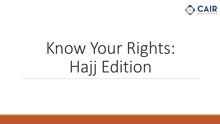

# Know Your Rights: Hajj Edition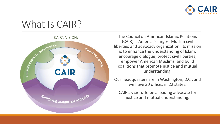

### What Is CAIR?



The Council on American-Islamic Relations (CAIR) is America's largest Muslim civil liberties and advocacy organization. Its mission is to enhance the understanding of Islam, encourage dialogue, protect civil liberties, empower American Muslims, and build coalitions that promote justice and mutual understanding.

Our headquarters are in Washington, D.C., and we have 30 offices in 22 states.

CAIR's vision: To be a leading advocate for justice and mutual understanding.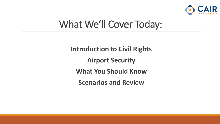

### What We'll Cover Today:

**Introduction to Civil Rights Airport Security What You Should Know Scenarios and Review**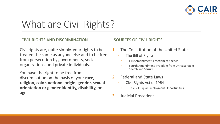

### What are Civil Rights?

#### CIVIL RIGHTS AND DISCRIMINATION

Civil rights are, quite simply, your rights to be treated the same as anyone else and to be free from persecution by governments, social organizations, and private individuals.

You have the right to be free from discrimination on the basis of your **race, religion, color, national origin, gender, sexual orientation or gender identity, disability, or age**.

#### SOURCES OF CIVIL RIGHTS:

- The Constitution of the United States
	- The Bill of Rights
		- First Amendment: Freedom of Speech
		- Fourth Amendment: Freedom from Unreasonable Search and Seizure
- 2. Federal and State Laws
	- Civil Rights Act of 1964
		- Title VII: Equal Employment Opportunities
- 3. Judicial Precedent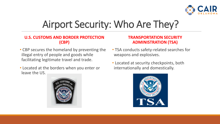

### Airport Security: Who Are They?

#### **U.S. CUSTOMS AND BORDER PROTECTION (CBP)**

- CBP secures the homeland by preventing the illegal entry of people and goods while facilitating legitimate travel and trade.
- Located at the borders when you enter or leave the US.



#### **TRANSPORTATION SECURITY ADMINISTRATION (TSA)**

- TSA conducts safety-related searches for weapons and explosives.
- Located at security checkpoints, both internationally and domestically.

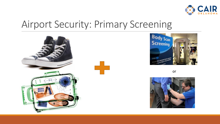

### Airport Security: Primary Screening







or

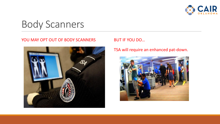

Body Scanners

#### YOU MAY OPT OUT OF BODY SCANNERS BUT IF YOU DO...

#### TSA will require an enhanced pat-down.

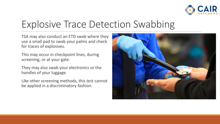

### Explosive Trace Detection Swabbing

TSA may also conduct an ETD swab where they use a small pad to swab your palms and check for traces of explosives.

This may occur in checkpoint lines, during screening, or at your gate.

They may also swab your electronics or the handles of your luggage.

Like other screening methods, this test cannot be applied in a discriminatory fashion.

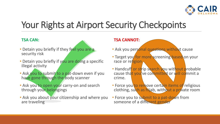

### Your Rights at Airport Security Checkpoints

#### **TSA CAN:**

- Detain you briefly if they feel you are a security risk
- Detain you briefly if you are doing a specific illegal activity
- Ask you to submit to a pat-down even if you have gone through the body scanner
- Ask you to open your carry-on and search through your belongings
- Ask you about your citizenship and where you are traveling

#### **TSA CANNOT:**

- Ask you personal questions without cause
- Target you for more screening based on your race or religion
- Handcuff or strip search you without probable cause that you've committed or will commit a crime.
- Force you to remove certain items of religious clothing, such as hijab, without a private room
- Force you to submit to a pat-down from someone of a different gender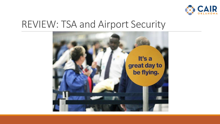

#### REVIEW: TSA and Airport Security

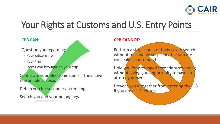

### Your Rights at Customs and U.S. Entry Points

#### **CPB CAN:**

Question you regarding:

- Your citizenship
- Your trip
- Items you brought on your trip

Confiscate your electronic items if they have reasonable suspicion\*\*

Detain you for secondary screening

Search you and your belongings

#### **CPB CANNOT:**

Perform a strip search or body cavity search without reasonable suspicion that you are concealing contraband

Hold you for prolonged secondary screening without giving you opportunity to have an attorney present

Prevent you altogether from entering the U.S. if you are a U.S. citizen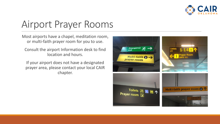

### Airport Prayer Rooms

Most airports have a chapel, meditation room, or multi-faith prayer room for you to use.

Consult the airport Information desk to find location and hours.

If your airport does not have a designated prayer area, please contact your local CAIR chapter.

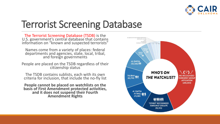

### Terrorist Screening Database

The Terrorist Screening Database (TSDB) is the U.S. government's central database that contains information on "known and suspected terrorists"

Names come from a variety of places: federal departments and agencies, state, local, tribal, and foreign governments

People are placed on the TSDB regardless of their citizenship status

The TSDB contains sublists, each with its own criteria for inclusion, that include the no-fly list

**People cannot be placed on watchlists on the basis of First Amendment protected activities, and it does not suspend their Fourth Amendment Rights**

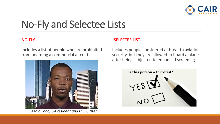

# No-Fly and Selectee Lists

#### **NO-FLY**

Includes a list of people who are prohibited from boarding a commercial aircraft.



Saa*diq Long, OK resident and U.S. Citizen*

#### **SELECTEE LIST**

Includes people considered a threat to aviation security, but they are allowed to board a plane after being subjected to enhanced screening.

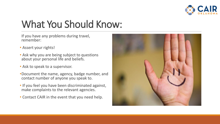

# What You Should Know:

If you have any problems during travel, remember:

- Assert your rights!
- Ask why you are being subject to questions about your personal life and beliefs.
- Ask to speak to a supervisor.
- •Document the name, agency, badge number, and contact number of anyone you speak to.
- If you feel you have been discriminated against, make complaints to the relevant agencies.
- Contact CAIR in the event that you need help.

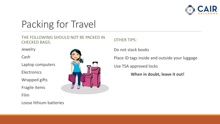

### Packing for Travel

THE FOLLOWING SHOULD NOT BE PACKED IN CHECKED BAGS:

**Jewelry** 

Cash

Laptop computers

**Electronics** 

Wrapped gifts

Fragile items

Film



OTHER TIPS:

Do not stack books

Place ID tags inside and outside your luggage

Use TSA approved locks

**When in doubt, leave it out!**

Loose lithium batteries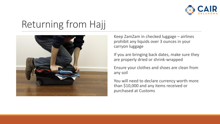

### Returning from Hajj



Keep ZamZam in checked luggage – airlines prohibit any liquids over 3 ounces in your carryon luggage

If you are bringing back dates, make sure they are properly dried or shrink-wrapped

Ensure your clothes and shoes are clean from any soil

You will need to declare currency worth more than \$10,000 and any items received or purchased at Customs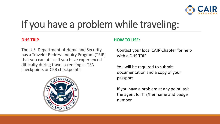

# If you have a problem while traveling:

#### **DHS TRIP**

The U.S. Department of Homeland Security has a Traveler Redress Inquiry Program (TRIP) that you can utilize if you have experienced difficulty during travel screening at TSA checkpoints or CPB checkpoints.



#### **HOW TO USE:**

Contact your local CAIR Chapter for help with a DHS TRIP

You will be required to submit documentation and a copy of your passport

If you have a problem at any point, ask the agent for his/her name and badge number